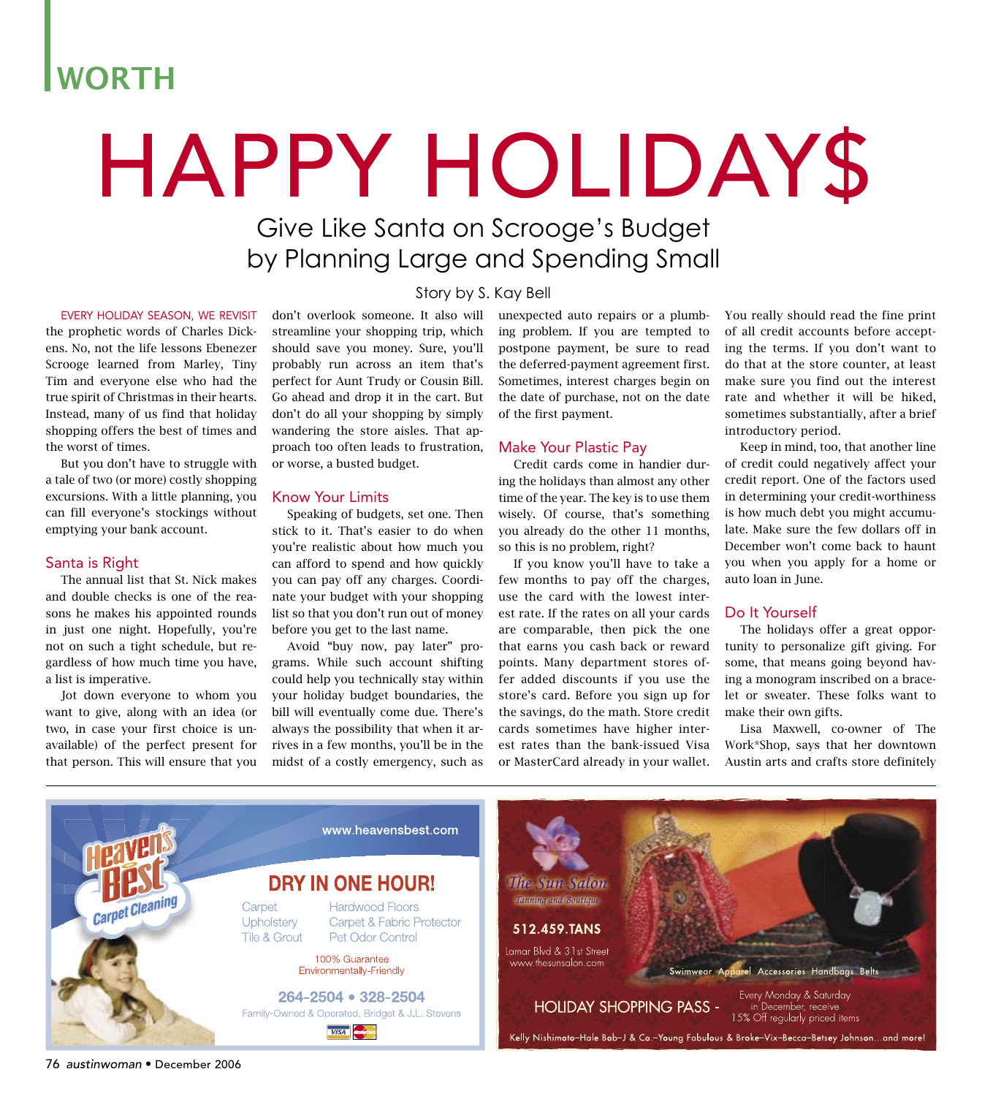## WORTH

# HAPPY HOLIDAY\$

### Give Like Santa on Scrooge's Budget by Planning Large and Spending Small

Story by S. Kay Bell

#### EVERY HOLIDAY SEASON, WE REVISIT

the prophetic words of Charles Dickens. No, not the life lessons Ebenezer Scrooge learned from Marley, Tiny Tim and everyone else who had the true spirit of Christmas in their hearts. Instead, many of us find that holiday shopping offers the best of times and the worst of times.

 But you don't have to struggle with a tale of two (or more) costly shopping excursions. With a little planning, you can fill everyone's stockings without emptying your bank account.

#### Santa is Right

 The annual list that St. Nick makes and double checks is one of the reasons he makes his appointed rounds in just one night. Hopefully, you're not on such a tight schedule, but regardless of how much time you have, a list is imperative.

 Jot down everyone to whom you want to give, along with an idea (or two, in case your first choice is unavailable) of the perfect present for that person. This will ensure that you don't overlook someone. It also will streamline your shopping trip, which should save you money. Sure, you'll probably run across an item that's perfect for Aunt Trudy or Cousin Bill. Go ahead and drop it in the cart. But don't do all your shopping by simply wandering the store aisles. That approach too often leads to frustration,

#### Know Your Limits

or worse, a busted budget.

 Speaking of budgets, set one. Then stick to it. That's easier to do when you're realistic about how much you can afford to spend and how quickly you can pay off any charges. Coordinate your budget with your shopping list so that you don't run out of money before you get to the last name.

 Avoid "buy now, pay later" programs. While such account shifting could help you technically stay within your holiday budget boundaries, the bill will eventually come due. There's always the possibility that when it arrives in a few months, you'll be in the midst of a costly emergency, such as unexpected auto repairs or a plumbing problem. If you are tempted to postpone payment, be sure to read the deferred-payment agreement first. Sometimes, interest charges begin on the date of purchase, not on the date of the first payment.

#### Make Your Plastic Pay

 Credit cards come in handier during the holidays than almost any other time of the year. The key is to use them wisely. Of course, that's something you already do the other 11 months, so this is no problem, right?

 If you know you'll have to take a few months to pay off the charges, use the card with the lowest interest rate. If the rates on all your cards are comparable, then pick the one that earns you cash back or reward points. Many department stores offer added discounts if you use the store's card. Before you sign up for the savings, do the math. Store credit cards sometimes have higher interest rates than the bank-issued Visa or MasterCard already in your wallet.

You really should read the fine print of all credit accounts before accepting the terms. If you don't want to do that at the store counter, at least make sure you find out the interest rate and whether it will be hiked, sometimes substantially, after a brief introductory period.

 Keep in mind, too, that another line of credit could negatively affect your credit report. One of the factors used in determining your credit-worthiness is how much debt you might accumulate. Make sure the few dollars off in December won't come back to haunt you when you apply for a home or auto loan in June.

#### Do It Yourself

 The holidays offer a great opportunity to personalize gift giving. For some, that means going beyond having a monogram inscribed on a bracelet or sweater. These folks want to make their own gifts.

 Lisa Maxwell, co-owner of The Work\*Shop, says that her downtown Austin arts and crafts store definitely



76 austinwoman • December 2006